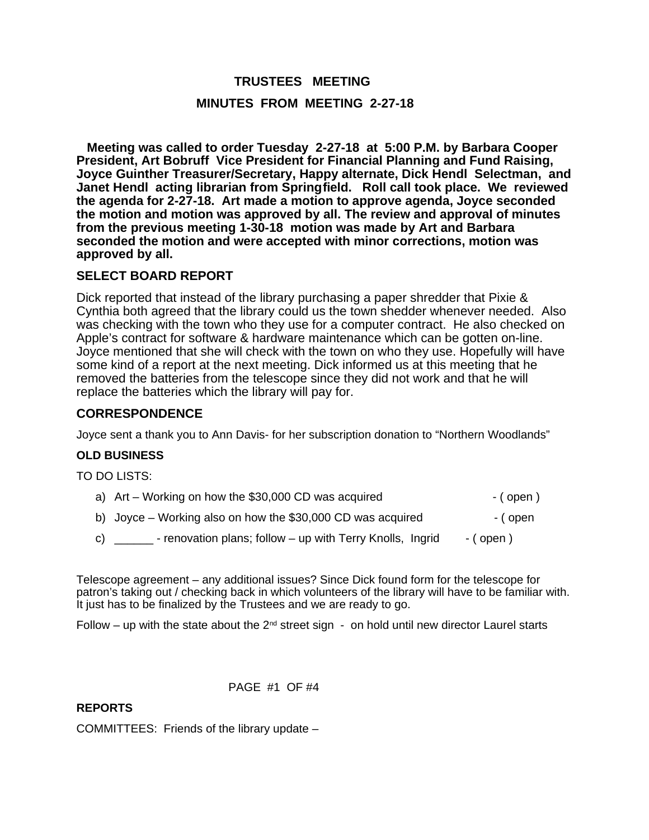## **TRUSTEES MEETING**

## **MINUTES FROM MEETING 2-27-18**

 **Meeting was called to order Tuesday 2-27-18 at 5:00 P.M. by Barbara Cooper President, Art Bobruff Vice President for Financial Planning and Fund Raising, Joyce Guinther Treasurer/Secretary, Happy alternate, Dick Hendl Selectman, and Janet Hendl acting librarian from Springfield. Roll call took place. We reviewed the agenda for 2-27-18. Art made a motion to approve agenda, Joyce seconded the motion and motion was approved by all. The review and approval of minutes from the previous meeting 1-30-18 motion was made by Art and Barbara seconded the motion and were accepted with minor corrections, motion was approved by all.** 

## **SELECT BOARD REPORT**

Dick reported that instead of the library purchasing a paper shredder that Pixie & Cynthia both agreed that the library could us the town shedder whenever needed. Also was checking with the town who they use for a computer contract. He also checked on Apple's contract for software & hardware maintenance which can be gotten on-line. Joyce mentioned that she will check with the town on who they use. Hopefully will have some kind of a report at the next meeting. Dick informed us at this meeting that he removed the batteries from the telescope since they did not work and that he will replace the batteries which the library will pay for.

## **CORRESPONDENCE**

Joyce sent a thank you to Ann Davis- for her subscription donation to "Northern Woodlands"

## **OLD BUSINESS**

TO DO LISTS:

- a)  $Art Working$  on how the \$30,000 CD was acquired  $-$  (open)
- b) Joyce Working also on how the  $$30,000$  CD was acquired  $\qquad \qquad$  ( open
- c) **-** renovation plans; follow up with Terry Knolls, Ingrid ( open )

Telescope agreement – any additional issues? Since Dick found form for the telescope for patron's taking out / checking back in which volunteers of the library will have to be familiar with. It just has to be finalized by the Trustees and we are ready to go.

Follow – up with the state about the  $2^{nd}$  street sign - on hold until new director Laurel starts

PAGE #1 OF #4

## **REPORTS**

COMMITTEES: Friends of the library update –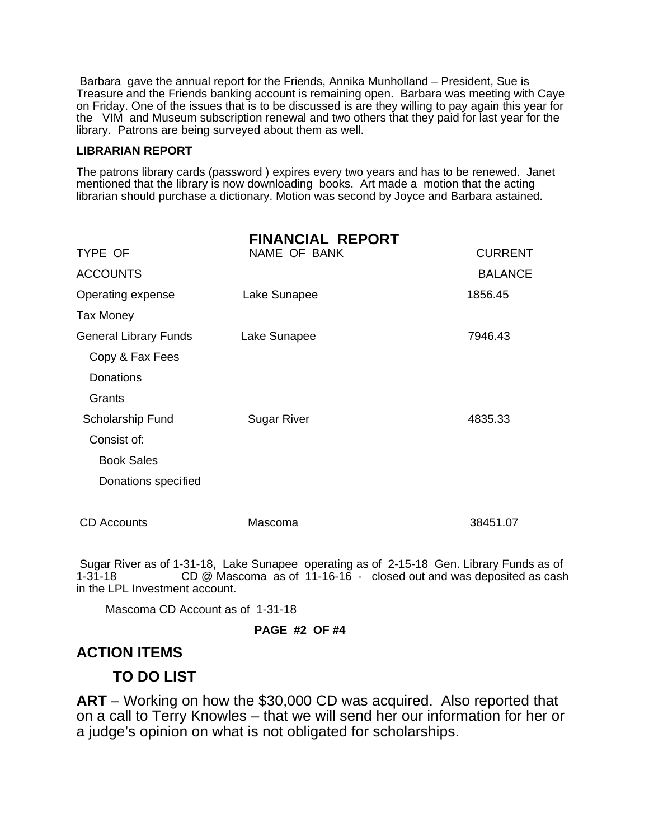Barbara gave the annual report for the Friends, Annika Munholland – President, Sue is Treasure and the Friends banking account is remaining open. Barbara was meeting with Caye on Friday. One of the issues that is to be discussed is are they willing to pay again this year for the VIM and Museum subscription renewal and two others that they paid for last year for the library. Patrons are being surveyed about them as well.

#### **LIBRARIAN REPORT**

The patrons library cards (password ) expires every two years and has to be renewed. Janet mentioned that the library is now downloading books. Art made a motion that the acting librarian should purchase a dictionary. Motion was second by Joyce and Barbara astained.

|                              | <b>FINANCIAL REPORT</b> |                |
|------------------------------|-------------------------|----------------|
| TYPE OF                      | NAME OF BANK            | <b>CURRENT</b> |
| <b>ACCOUNTS</b>              |                         | <b>BALANCE</b> |
| Operating expense            | Lake Sunapee            | 1856.45        |
| Tax Money                    |                         |                |
| <b>General Library Funds</b> | Lake Sunapee            | 7946.43        |
| Copy & Fax Fees              |                         |                |
| <b>Donations</b>             |                         |                |
| Grants                       |                         |                |
| Scholarship Fund             | <b>Sugar River</b>      | 4835.33        |
| Consist of:                  |                         |                |
| <b>Book Sales</b>            |                         |                |
| Donations specified          |                         |                |
| <b>CD</b> Accounts           | Mascoma                 | 38451.07       |

Sugar River as of 1-31-18, Lake Sunapee operating as of 2-15-18 Gen. Library Funds as of 1-31-18<br>1-31-18 CD @ Mascoma as of 11-16-16 - closed out and was deposited as cash CD  $@$  Mascoma as of 11-16-16 - closed out and was deposited as cash in the LPL Investment account.

Mascoma CD Account as of 1-31-18

#### **PAGE #2 OF #4**

# **ACTION ITEMS**

# **TO DO LIST**

**ART** – Working on how the \$30,000 CD was acquired. Also reported that on a call to Terry Knowles – that we will send her our information for her or a judge's opinion on what is not obligated for scholarships.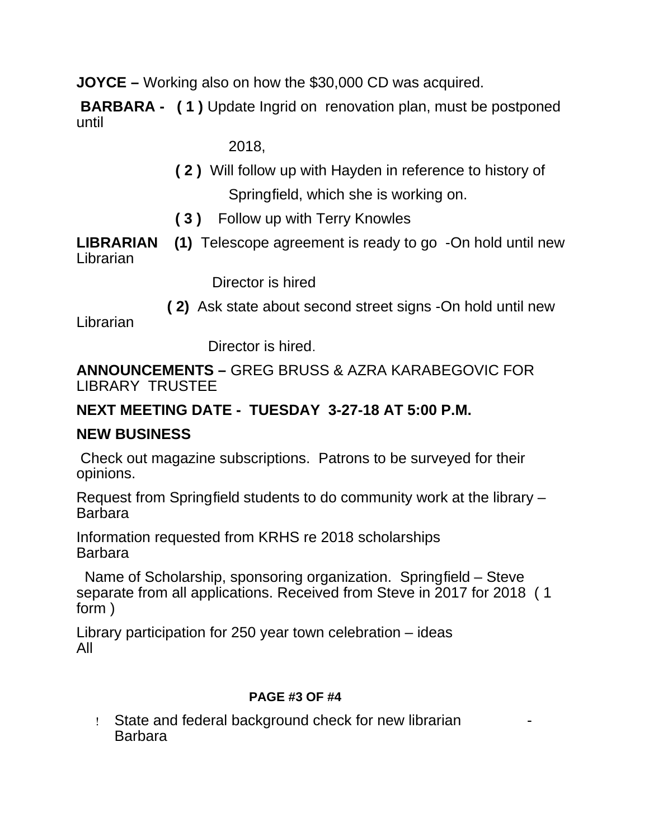**JOYCE –** Working also on how the \$30,000 CD was acquired.

**BARBARA - (1)** Update Ingrid on renovation plan, must be postponed until

2018,

- **( 2 )** Will follow up with Hayden in reference to history of Springfield, which she is working on.
- **( 3 )** Follow up with Terry Knowles
- **LIBRARIAN (1)** Telescope agreement is ready to go -On hold until new Librarian

Director is hired

**( 2)** Ask state about second street signs -On hold until new

Librarian

Director is hired.

**ANNOUNCEMENTS –** GREG BRUSS & AZRA KARABEGOVIC FOR LIBRARY TRUSTEE

# **NEXT MEETING DATE - TUESDAY 3-27-18 AT 5:00 P.M.**

# **NEW BUSINESS**

Check out magazine subscriptions. Patrons to be surveyed for their opinions.

Request from Springfield students to do community work at the library – Barbara

Information requested from KRHS re 2018 scholarships Barbara

 Name of Scholarship, sponsoring organization. Springfield – Steve separate from all applications. Received from Steve in 2017 for 2018 ( 1 form )

Library participation for 250 year town celebration – ideas All

# **PAGE #3 OF #4**

 State and federal background check for new librarian - Barbara